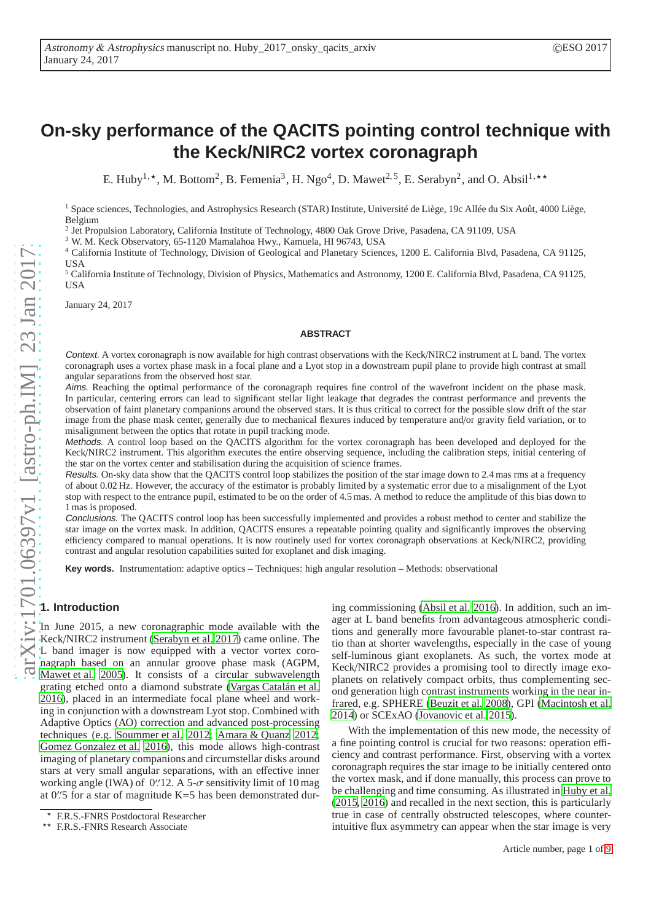# **On-sky performance of the QACITS pointing control technique with the Keck/NIRC2 vortex coronagraph**

E. Huby<sup>1,\*</sup>, M. Bottom<sup>2</sup>, B. Femenia<sup>3</sup>, H. Ngo<sup>4</sup>, D. Mawet<sup>2,5</sup>, E. Serabyn<sup>2</sup>, and O. Absil<sup>1,\*\*</sup>

<sup>1</sup> Space sciences, Technologies, and Astrophysics Research (STAR) Institute, Université de Liège, 19c Allée du Six Août, 4000 Liège, Belgium

2 Jet Propulsion Laboratory, California Institute of Technology, 4800 Oak Grove Drive, Pasadena, CA 91109, USA

<sup>3</sup> W. M. Keck Observatory, 65-1120 Mamalahoa Hwy., Kamuela, HI 96743, USA

<sup>4</sup> California Institute of Technology, Division of Geological and Planetary Sciences, 1200 E. California Blvd, Pasadena, CA 91125, USA

<sup>5</sup> California Institute of Technology, Division of Physics, Mathematics and Astronomy, 1200 E. California Blvd, Pasadena, CA 91125, USA

January 24, 2017

#### **ABSTRACT**

Context. A vortex coronagraph is now available for high contrast observations with the Keck/NIRC2 instrument at L band. The vortex coronagraph uses a vortex phase mask in a focal plane and a Lyot stop in a downstream pupil plane to provide high contrast at small angular separations from the observed host star.

Aims. Reaching the optimal performance of the coronagraph requires fine control of the wavefront incident on the phase mask. In particular, centering errors can lead to significant stellar light leakage that degrades the contrast performance and prevents the observation of faint planetary companions around the observed stars. It is thus critical to correct for the possible slow drift of the star image from the phase mask center, generally due to mechanical flexures induced by temperature and/or gravity field variation, or to misalignment between the optics that rotate in pupil tracking mode.

Methods. A control loop based on the QACITS algorithm for the vortex coronagraph has been developed and deployed for the Keck/NIRC2 instrument. This algorithm executes the entire observing sequence, including the calibration steps, initial centering of the star on the vortex center and stabilisation during the acquisition of science frames.

Results. On-sky data show that the QACITS control loop stabilizes the position of the star image down to 2.4 mas rms at a frequency of about 0.02 Hz. However, the accuracy of the estimator is probably limited by a systematic error due to a misalignment of the Lyot stop with respect to the entrance pupil, estimated to be on the order of 4.5 mas. A method to reduce the amplitude of this bias down to 1 mas is proposed.

Conclusions. The QACITS control loop has been successfully implemented and provides a robust method to center and stabilize the star image on the vortex mask. In addition, QACITS ensures a repeatable pointing quality and significantly improves the observing efficiency compared to manual operations. It is now routinely used for vortex coronagraph observations at Keck/NIRC2, providing contrast and angular resolution capabilities suited for exoplanet and disk imaging.

**Key words.** Instrumentation: adaptive optics – Techniques: high angular resolution – Methods: observational

# **1. Introduction**

In June 2015, a new coronagraphic mode available with the Keck/NIRC2 instrument [\(Serabyn et al. 2017](#page-8-0)) came online. The L band imager is now equipped with a vector vortex coronagraph based on an annular groove phase mask (AGPM, [Mawet et al. 2005\)](#page-8-1). It consists of a circular subwavelength grating etched onto a diamond substrate [\(Vargas Catalán et al.](#page-8-2) [2016\)](#page-8-2), placed in an intermediate focal plane wheel and working in conjunction with a downstream Lyot stop. Combined with Adaptive Optics (AO) correction and advanced post-processing techniques (e.g. [Soummer et al. 2012;](#page-8-3) [Amara & Quanz 2012](#page-8-4); [Gomez Gonzalez et al. 2016\)](#page-8-5), this mode allows high-contrast imaging of planetary companions and circumstellar disks around stars at very small angular separations, with an effective inner working angle (IWA) of 0''.12. A 5- $\sigma$  sensitivity limit of 10 mag at 0′′ .5 for a star of magnitude K=5 has been demonstrated during commissioning [\(Absil et al. 2016\)](#page-8-6). In addition, such an imager at L band benefits from advantageous atmospheric conditions and generally more favourable planet-to-star contrast ratio than at shorter wavelengths, especially in the case of young self-luminous giant exoplanets. As such, the vortex mode at Keck/NIRC2 provides a promising tool to directly image exoplanets on relatively compact orbits, thus complementing second generation high contrast instruments working in the near infrared, e.g. SPHERE [\(Beuzit et al. 2008\)](#page-8-7), GPI [\(Macintosh et al.](#page-8-8) [2014\)](#page-8-8) or SCExAO [\(Jovanovic et al. 2015\)](#page-8-9).

With the implementation of this new mode, the necessity of a fine pointing control is crucial for two reasons: operation efficiency and contrast performance. First, observing with a vortex coronagraph requires the star image to be initially centered onto the vortex mask, and if done manually, this process can prove to be challenging and time consuming. As illustrated in [Huby et](#page-8-10) al. [\(2015,](#page-8-10) [2016\)](#page-8-11) and recalled in the next section, this is particularly true in case of centrally obstructed telescopes, where counterintuitive flux asymmetry can appear when the star image is very

<sup>⋆</sup> F.R.S.-FNRS Postdoctoral Researcher

<sup>⋆⋆</sup> F.R.S.-FNRS Research Associate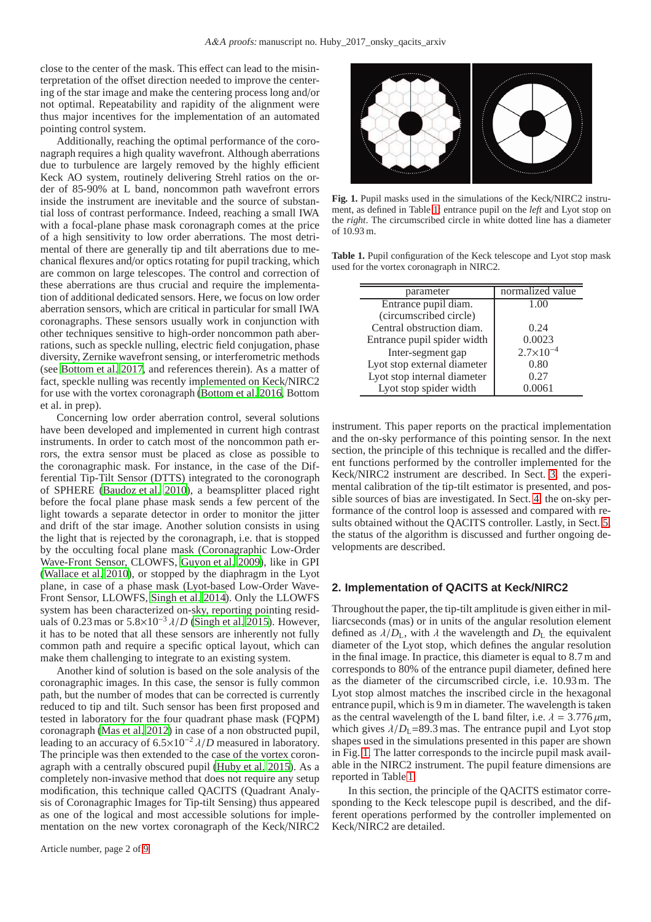close to the center of the mask. This effect can lead to the misinterpretation of the offset direction needed to improve the centering of the star image and make the centering process long and/or not optimal. Repeatability and rapidity of the alignment were thus major incentives for the implementation of an automated pointing control system.

Additionally, reaching the optimal performance of the coronagraph requires a high quality wavefront. Although aberrations due to turbulence are largely removed by the highly efficient Keck AO system, routinely delivering Strehl ratios on the order of 85-90% at L band, noncommon path wavefront errors inside the instrument are inevitable and the source of substantial loss of contrast performance. Indeed, reaching a small IWA with a focal-plane phase mask coronagraph comes at the price of a high sensitivity to low order aberrations. The most detrimental of there are generally tip and tilt aberrations due to mechanical flexures and/or optics rotating for pupil tracking, which are common on large telescopes. The control and correction of these aberrations are thus crucial and require the implementation of additional dedicated sensors. Here, we focus on low order aberration sensors, which are critical in particular for small IWA coronagraphs. These sensors usually work in conjunction with other techniques sensitive to high-order noncommon path aberrations, such as speckle nulling, electric field conjugation, phase diversity, Zernike wavefront sensing, or interferometric methods (see [Bottom et al. 2017,](#page-8-12) and references therein). As a matter of fact, speckle nulling was recently implemented on Keck/NIRC2 for use with the vortex coronagraph [\(Bottom et al. 2016,](#page-8-13) Bottom et al. in prep).

Concerning low order aberration control, several solutions have been developed and implemented in current high contrast instruments. In order to catch most of the noncommon path errors, the extra sensor must be placed as close as possible to the coronagraphic mask. For instance, in the case of the Differential Tip-Tilt Sensor (DTTS) integrated to the coronograph of SPHERE [\(Baudoz et al. 2010\)](#page-8-14), a beamsplitter placed right before the focal plane phase mask sends a few percent of the light towards a separate detector in order to monitor the jitter and drift of the star image. Another solution consists in using the light that is rejected by the coronagraph, i.e. that is stopped by the occulting focal plane mask (Coronagraphic Low-Order Wave-Front Sensor, CLOWFS, [Guyon et al. 2009\)](#page-8-15), like in GPI [\(Wallace et al. 2010](#page-8-16)), or stopped by the diaphragm in the Lyot plane, in case of a phase mask (Lyot-based Low-Order Wave-Front Sensor, LLOWFS, [Singh et al. 2014](#page-8-17)). Only the LLOWFS system has been characterized on-sky, reporting pointing residuals of 0.23 mas or  $5.8 \times 10^{-3}$   $\lambda/D$  [\(Singh et al. 2015\)](#page-8-18). However, it has to be noted that all these sensors are inherently not fully common path and require a specific optical layout, which can make them challenging to integrate to an existing system.

Another kind of solution is based on the sole analysis of the coronagraphic images. In this case, the sensor is fully common path, but the number of modes that can be corrected is currently reduced to tip and tilt. Such sensor has been first proposed and tested in laboratory for the four quadrant phase mask (FQPM) coronagraph [\(Mas et al. 2012\)](#page-8-19) in case of a non obstructed pupil, leading to an accuracy of  $6.5 \times 10^{-2} \lambda/D$  measured in laboratory. The principle was then extended to the case of the vortex coronagraph with a centrally obscured pupil [\(Huby et al. 2015\)](#page-8-10). As a completely non-invasive method that does not require any setup modification, this technique called QACITS (Quadrant Analysis of Coronagraphic Images for Tip-tilt Sensing) thus appeared as one of the logical and most accessible solutions for implementation on the new vortex coronagraph of the Keck/NIRC2



<span id="page-1-1"></span>**Fig. 1.** Pupil masks used in the simulations of the Keck/NIRC2 instrument, as defined in Table [1:](#page-1-0) entrance pupil on the *left* and Lyot stop on the *right*. The circumscribed circle in white dotted line has a diameter of 10.93 m.

**Table 1.** Pupil configuration of the Keck telescope and Lyot stop mask used for the vortex coronagraph in NIRC2.

<span id="page-1-0"></span>

| normalized value     |
|----------------------|
| 1.00                 |
|                      |
| 0.24                 |
| 0.0023               |
| $2.7 \times 10^{-4}$ |
| 0.80                 |
| 0.27                 |
| 0.0061               |
|                      |

instrument. This paper reports on the practical implementation and the on-sky performance of this pointing sensor. In the next section, the principle of this technique is recalled and the different functions performed by the controller implemented for the Keck/NIRC2 instrument are described. In Sect. [3,](#page-3-0) the experimental calibration of the tip-tilt estimator is presented, and possible sources of bias are investigated. In Sect. [4,](#page-6-0) the on-sky performance of the control loop is assessed and compared with results obtained without the QACITS controller. Lastly, in Sect. [5,](#page-7-0) the status of the algorithm is discussed and further ongoing developments are described.

## <span id="page-1-2"></span>**2. Implementation of QACITS at Keck/NIRC2**

Throughout the paper, the tip-tilt amplitude is given either in milliarcseconds (mas) or in units of the angular resolution element defined as  $\lambda/D_L$ , with  $\lambda$  the wavelength and  $D_L$  the equivalent diameter of the Lyot stop, which defines the angular resolution in the final image. In practice, this diameter is equal to 8.7 m and corresponds to 80% of the entrance pupil diameter, defined here as the diameter of the circumscribed circle, i.e. 10.93 m. The Lyot stop almost matches the inscribed circle in the hexagonal entrance pupil, which is 9 m in diameter. The wavelength is taken as the central wavelength of the L band filter, i.e.  $\lambda = 3.776 \,\mu \text{m}$ , which gives  $\lambda/D_L$ =89.3 mas. The entrance pupil and Lyot stop shapes used in the simulations presented in this paper are shown in Fig. [1.](#page-1-1) The latter corresponds to the incircle pupil mask available in the NIRC2 instrument. The pupil feature dimensions are reported in Table [1.](#page-1-0)

In this section, the principle of the QACITS estimator corresponding to the Keck telescope pupil is described, and the different operations performed by the controller implemented on Keck/NIRC2 are detailed.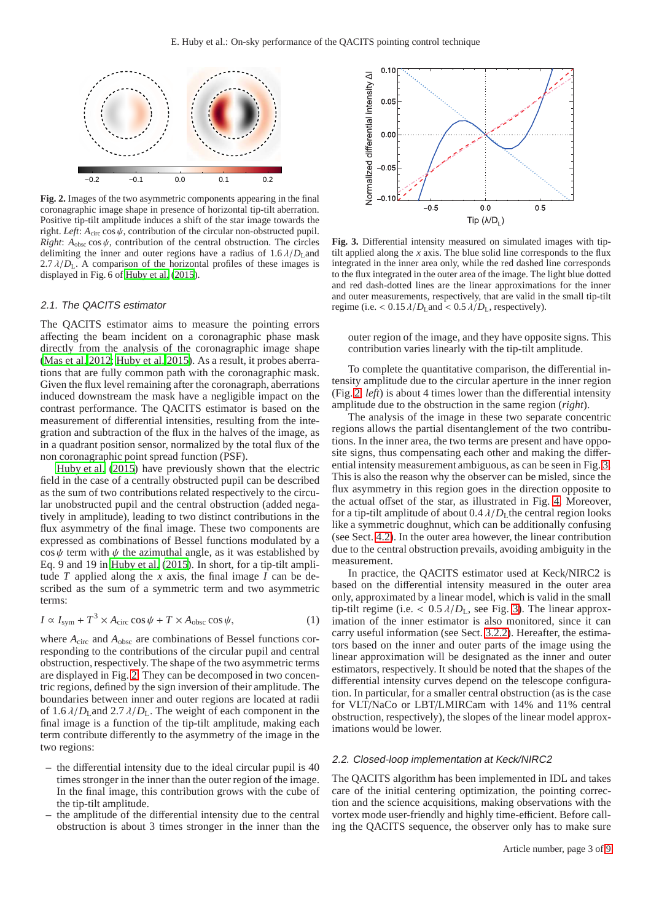

<span id="page-2-0"></span>**Fig. 2.** Images of the two asymmetric components appearing in the final coronagraphic image shape in presence of horizontal tip-tilt aberration. Positive tip-tilt amplitude induces a shift of the star image towards the right. *Left*:  $A_{\text{circ}} \cos \psi$ , contribution of the circular non-obstructed pupil. *Right*:  $A_{\text{obsc}} \cos \psi$ , contribution of the central obstruction. The circles delimiting the inner and outer regions have a radius of  $1.6 \lambda/D<sub>L</sub>$ and 2.7  $\lambda/D_L$ . A comparison of the horizontal profiles of these images is displayed in Fig. 6 of [Huby et al.](#page-8-10) [\(2015](#page-8-10)).

#### 2.1. The QACITS estimator

The QACITS estimator aims to measure the pointing errors affecting the beam incident on a coronagraphic phase mask directly from the analysis of the coronagraphic image shape [\(Mas et al. 2012;](#page-8-19) [Huby et al. 2015\)](#page-8-10). As a result, it probes aberrations that are fully common path with the coronagraphic mask. Given the flux level remaining after the coronagraph, aberrations induced downstream the mask have a negligible impact on the contrast performance. The QACITS estimator is based on the measurement of differential intensities, resulting from the integration and subtraction of the flux in the halves of the image, as in a quadrant position sensor, normalized by the total flux of the non coronagraphic point spread function (PSF).

[Huby et al. \(2015\)](#page-8-10) have previously shown that the electric field in the case of a centrally obstructed pupil can be described as the sum of two contributions related respectively to the circular unobstructed pupil and the central obstruction (added negatively in amplitude), leading to two distinct contributions in the flux asymmetry of the final image. These two components are expressed as combinations of Bessel functions modulated by a  $\cos \psi$  term with  $\psi$  the azimuthal angle, as it was established by Eq. 9 and 19 in [Huby et al.](#page-8-10) [\(2015\)](#page-8-10). In short, for a tip-tilt amplitude *T* applied along the *x* axis, the final image *I* can be described as the sum of a symmetric term and two asymmetric terms:

$$
I \propto I_{\text{sym}} + T^3 \times A_{\text{circ}} \cos \psi + T \times A_{\text{obsc}} \cos \psi, \tag{1}
$$

where  $A<sub>circ</sub>$  and  $A<sub>obsc</sub>$  are combinations of Bessel functions corresponding to the contributions of the circular pupil and central obstruction, respectively. The shape of the two asymmetric terms are displayed in Fig. [2.](#page-2-0) They can be decomposed in two concentric regions, defined by the sign inversion of their amplitude. The boundaries between inner and outer regions are located at radii of  $1.6 \lambda/D_L$  and  $2.7 \lambda/D_L$ . The weight of each component in the final image is a function of the tip-tilt amplitude, making each term contribute differently to the asymmetry of the image in the two regions:

- **–** the differential intensity due to the ideal circular pupil is 40 times stronger in the inner than the outer region of the image. In the final image, this contribution grows with the cube of the tip-tilt amplitude.
- **–** the amplitude of the differential intensity due to the central obstruction is about 3 times stronger in the inner than the



<span id="page-2-1"></span>**Fig. 3.** Differential intensity measured on simulated images with tiptilt applied along the *x* axis. The blue solid line corresponds to the flux integrated in the inner area only, while the red dashed line corresponds to the flux integrated in the outer area of the image. The light blue dotted and red dash-dotted lines are the linear approximations for the inner and outer measurements, respectively, that are valid in the small tip-tilt regime (i.e.  $< 0.15 \lambda/D_L$  and  $< 0.5 \lambda/D_L$ , respectively).

outer region of the image, and they have opposite signs. This contribution varies linearly with the tip-tilt amplitude.

To complete the quantitative comparison, the differential intensity amplitude due to the circular aperture in the inner region (Fig. [2,](#page-2-0) *left*) is about 4 times lower than the differential intensity amplitude due to the obstruction in the same region (*right*).

The analysis of the image in these two separate concentric regions allows the partial disentanglement of the two contributions. In the inner area, the two terms are present and have opposite signs, thus compensating each other and making the differential intensity measurement ambiguous, as can be seen in Fig. [3.](#page-2-1) This is also the reason why the observer can be misled, since the flux asymmetry in this region goes in the direction opposite to the actual offset of the star, as illustrated in Fig. [4.](#page-3-1) Moreover, for a tip-tilt amplitude of about  $0.4 \lambda/D<sub>I</sub>$  the central region looks like a symmetric doughnut, which can be additionally confusing (see Sect. [4.2\)](#page-7-1). In the outer area however, the linear contribution due to the central obstruction prevails, avoiding ambiguity in the measurement.

In practice, the QACITS estimator used at Keck/NIRC2 is based on the differential intensity measured in the outer area only, approximated by a linear model, which is valid in the small tip-tilt regime (i.e.  $< 0.5 \lambda/D_L$ , see Fig. [3\)](#page-2-1). The linear approximation of the inner estimator is also monitored, since it can carry useful information (see Sect. [3.2.2\)](#page-5-0). Hereafter, the estimators based on the inner and outer parts of the image using the linear approximation will be designated as the inner and outer estimators, respectively. It should be noted that the shapes of the differential intensity curves depend on the telescope configuration. In particular, for a smaller central obstruction (as is the case for VLT/NaCo or LBT/LMIRCam with 14% and 11% central obstruction, respectively), the slopes of the linear model approximations would be lower.

### 2.2. Closed-loop implementation at Keck/NIRC2

The QACITS algorithm has been implemented in IDL and takes care of the initial centering optimization, the pointing correction and the science acquisitions, making observations with the vortex mode user-friendly and highly time-efficient. Before calling the QACITS sequence, the observer only has to make sure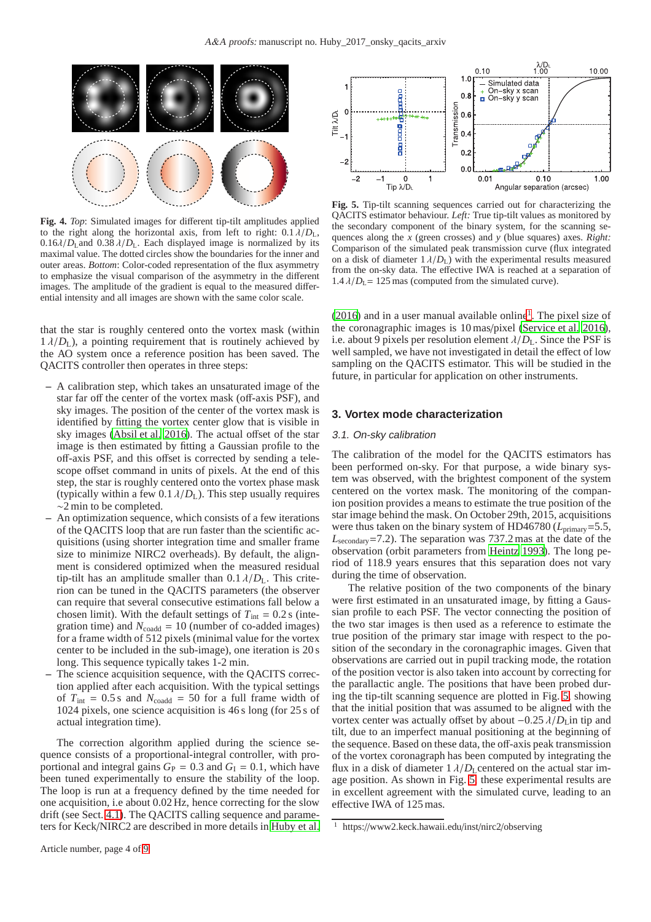

<span id="page-3-1"></span>**Fig. 4.** *Top*: Simulated images for different tip-tilt amplitudes applied to the right along the horizontal axis, from left to right:  $0.1 \lambda/D_L$ ,  $0.16\lambda/D_L$  and  $0.38\lambda/D_L$ . Each displayed image is normalized by its maximal value. The dotted circles show the boundaries for the inner and outer areas. *Bottom*: Color-coded representation of the flux asymmetry to emphasize the visual comparison of the asymmetry in the different images. The amplitude of the gradient is equal to the measured differential intensity and all images are shown with the same color scale.

that the star is roughly centered onto the vortex mask (within  $1 \lambda/D_{\rm L}$ ), a pointing requirement that is routinely achieved by the AO system once a reference position has been saved. The QACITS controller then operates in three steps:

- **–** A calibration step, which takes an unsaturated image of the star far off the center of the vortex mask (off-axis PSF), and sky images. The position of the center of the vortex mask is identified by fitting the vortex center glow that is visible in sky images [\(Absil et al. 2016\)](#page-8-6). The actual offset of the star image is then estimated by fitting a Gaussian profile to the off-axis PSF, and this offset is corrected by sending a telescope offset command in units of pixels. At the end of this step, the star is roughly centered onto the vortex phase mask (typically within a few  $0.1 \lambda/D_L$ ). This step usually requires ∼2 min to be completed.
- **–** An optimization sequence, which consists of a few iterations of the QACITS loop that are run faster than the scientific acquisitions (using shorter integration time and smaller frame size to minimize NIRC2 overheads). By default, the alignment is considered optimized when the measured residual tip-tilt has an amplitude smaller than  $0.1 \lambda/D_{\rm L}$ . This criterion can be tuned in the QACITS parameters (the observer can require that several consecutive estimations fall below a chosen limit). With the default settings of  $T_{\text{int}} = 0.2$  s (integration time) and  $N_{\text{coadd}} = 10$  (number of co-added images) for a frame width of 512 pixels (minimal value for the vortex center to be included in the sub-image), one iteration is 20 s long. This sequence typically takes 1-2 min.
- The science acquisition sequence, with the QACITS correction applied after each acquisition. With the typical settings of  $T_{\text{int}} = 0.5 \text{ s}$  and  $N_{\text{coadd}} = 50$  for a full frame width of 1024 pixels, one science acquisition is 46 s long (for 25 s of actual integration time).

The correction algorithm applied during the science sequence consists of a proportional-integral controller, with proportional and integral gains  $G_P = 0.3$  and  $G_I = 0.1$ , which have been tuned experimentally to ensure the stability of the loop. The loop is run at a frequency defined by the time needed for one acquisition, i.e about 0.02 Hz, hence correcting for the slow drift (see Sect. [4.1\)](#page-6-1). The QACITS calling sequence and parameters for Keck/NIRC2 are described in more details in [Huby et al.](#page-8-11)



<span id="page-3-3"></span>**Fig. 5.** Tip-tilt scanning sequences carried out for characterizing the QACITS estimator behaviour. *Left:* True tip-tilt values as monitored by the secondary component of the binary system, for the scanning sequences along the *x* (green crosses) and *y* (blue squares) axes. *Right:* Comparison of the simulated peak transmission curve (flux integrated on a disk of diameter  $1 \lambda/D_{\rm L}$ ) with the experimental results measured from the on-sky data. The effective IWA is reached at a separation of  $1.4 \lambda/D_L$ = 125 mas (computed from the simulated curve).

 $(2016)$  and in a user manual available online<sup>[1](#page-3-2)</sup>. The pixel size of the coronagraphic images is 10 mas/pixel [\(Service et al. 2016\)](#page-8-20), i.e. about 9 pixels per resolution element  $\lambda/D_L$ . Since the PSF is well sampled, we have not investigated in detail the effect of low sampling on the QACITS estimator. This will be studied in the future, in particular for application on other instruments.

## <span id="page-3-0"></span>**3. Vortex mode characterization**

#### 3.1. On-sky calibration

The calibration of the model for the QACITS estimators has been performed on-sky. For that purpose, a wide binary system was observed, with the brightest component of the system centered on the vortex mask. The monitoring of the companion position provides a means to estimate the true position of the star image behind the mask. On October 29th, 2015, acquisitions were thus taken on the binary system of HD46780 ( $L_{\text{primary}}$ =5.5, *L*secondary=7.2). The separation was 737.2 mas at the date of the observation (orbit parameters from [Heintz 1993](#page-8-21)). The long period of 118.9 years ensures that this separation does not vary during the time of observation.

The relative position of the two components of the binary were first estimated in an unsaturated image, by fitting a Gaussian profile to each PSF. The vector connecting the position of the two star images is then used as a reference to estimate the true position of the primary star image with respect to the position of the secondary in the coronagraphic images. Given that observations are carried out in pupil tracking mode, the rotation of the position vector is also taken into account by correcting for the parallactic angle. The positions that have been probed during the tip-tilt scanning sequence are plotted in Fig. [5,](#page-3-3) showing that the initial position that was assumed to be aligned with the vortex center was actually offset by about −0.25  $\lambda/D$ <sub>L</sub>in tip and tilt, due to an imperfect manual positioning at the beginning of the sequence. Based on these data, the off-axis peak transmission of the vortex coronagraph has been computed by integrating the flux in a disk of diameter  $1 \lambda/D_L$ centered on the actual star image position. As shown in Fig. [5,](#page-3-3) these experimental results are in excellent agreement with the simulated curve, leading to an effective IWA of 125 mas.

<span id="page-3-2"></span><sup>&</sup>lt;sup>1</sup> https://www2.keck.hawaii.edu/inst/nirc2/observing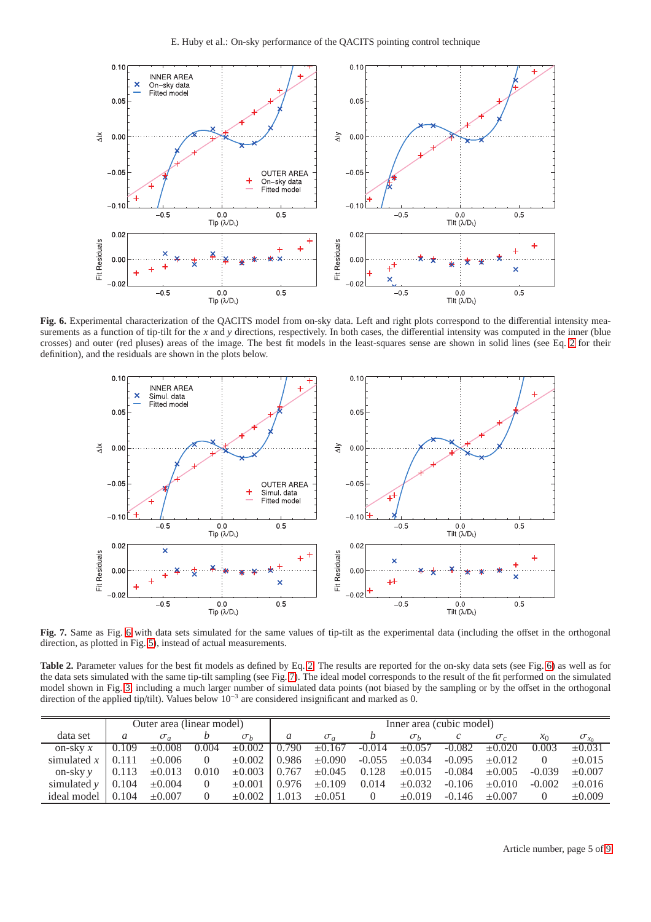

<span id="page-4-0"></span>**Fig. 6.** Experimental characterization of the QACITS model from on-sky data. Left and right plots correspond to the differential intensity measurements as a function of tip-tilt for the *x* and *y* directions, respectively. In both cases, the differential intensity was computed in the inner (blue crosses) and outer (red pluses) areas of the image. The best fit models in the least-squares sense are shown in solid lines (see Eq. [2](#page-5-1) for their definition), and the residuals are shown in the plots below.



<span id="page-4-1"></span>**Fig. 7.** Same as Fig. [6](#page-4-0) with data sets simulated for the same values of tip-tilt as the experimental data (including the offset in the orthogonal direction, as plotted in Fig. [5\)](#page-3-3), instead of actual measurements.

<span id="page-4-2"></span>**Table [2.](#page-5-1)** Parameter values for the best fit models as defined by Eq. 2. The results are reported for the on-sky data sets (see Fig. [6\)](#page-4-0) as well as for the data sets simulated with the same tip-tilt sampling (see Fig. [7\)](#page-4-1). The ideal model corresponds to the result of the fit performed on the simulated model shown in Fig. [3,](#page-2-1) including a much larger number of simulated data points (not biased by the sampling or by the offset in the orthogonal direction of the applied tip/tilt). Values below 10<sup>−</sup><sup>3</sup> are considered insignificant and marked as 0.

|                           | Outer area (linear model) |                   |                |                     | Inner area (cubic model) |             |          |             |          |             |          |                |
|---------------------------|---------------------------|-------------------|----------------|---------------------|--------------------------|-------------|----------|-------------|----------|-------------|----------|----------------|
| data set                  | a                         | $\sigma_a$        |                | $\sigma_b$          | a                        | $\sigma_a$  |          | $\sigma_h$  |          | $\sigma_c$  | $x_0$    | $\sigma_{x_0}$ |
| on-sky $x$                | 0.109                     | $\pm 0.008$       | 0.004          | $\pm 0.002$   0.790 |                          | $\pm 0.167$ | $-0.014$ | $\pm 0.057$ | $-0.082$ | $\pm 0.020$ | 0.003    | $\pm 0.031$    |
| simulated $x$             | 0.111                     | $\pm 0.006$       | $\Omega$       | $\pm 0.002$         | 0.986                    | $\pm 0.090$ | $-0.055$ | $\pm 0.034$ | $-0.095$ | $\pm 0.012$ |          | $\pm 0.015$    |
| on-sky $\nu$              |                           | $0.113 \pm 0.013$ | 0.010          | $\pm 0.003$   0.767 |                          | $\pm 0.045$ | 0.128    | $\pm 0.015$ | $-0.084$ | $\pm 0.005$ | $-0.039$ | $\pm 0.007$    |
| simulated $\nu$           | 0.104                     | $\pm 0.004$       | $\overline{0}$ | $\pm 0.001$         | 0.976                    | $\pm 0.109$ | 0.014    | $\pm 0.032$ | $-0.106$ | $\pm 0.010$ | $-0.002$ | $\pm 0.016$    |
| ideal model $\vert$ 0.104 |                           | $\pm 0.007$       |                | $\pm 0.002$         | 0.013                    | $\pm 0.051$ |          | $\pm 0.019$ | $-0.146$ | $\pm 0.007$ | $\Omega$ | $\pm 0.009$    |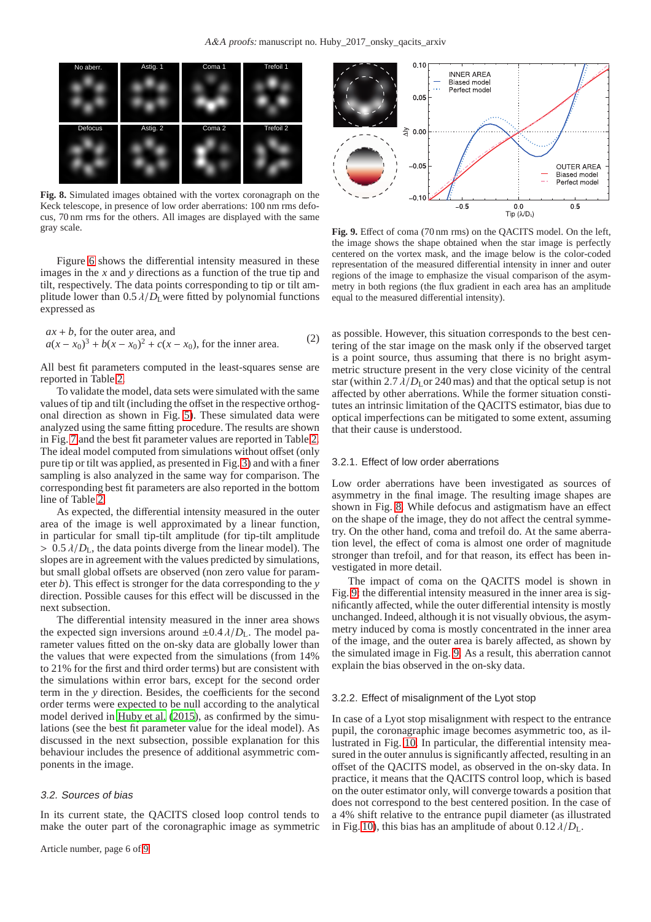

<span id="page-5-2"></span>**Fig. 8.** Simulated images obtained with the vortex coronagraph on the Keck telescope, in presence of low order aberrations: 100 nm rms defocus, 70 nm rms for the others. All images are displayed with the same gray scale.

Figure [6](#page-4-0) shows the differential intensity measured in these images in the *x* and *y* directions as a function of the true tip and tilt, respectively. The data points corresponding to tip or tilt amplitude lower than  $0.5 \lambda/D_L$  were fitted by polynomial functions expressed as

<span id="page-5-1"></span>
$$
ax + b
$$
, for the outer area, and  
 $a(x - x_0)^3 + b(x - x_0)^2 + c(x - x_0)$ , for the inner area. (2)

All best fit parameters computed in the least-squares sense are reported in Table [2.](#page-4-2)

To validate the model, data sets were simulated with the same values of tip and tilt (including the offset in the respective orthogonal direction as shown in Fig. [5\)](#page-3-3). These simulated data were analyzed using the same fitting procedure. The results are shown in Fig. [7](#page-4-1) and the best fit parameter values are reported in Table [2.](#page-4-2) The ideal model computed from simulations without offset (only pure tip or tilt was applied, as presented in Fig. [3\)](#page-2-1) and with a finer sampling is also analyzed in the same way for comparison. The corresponding best fit parameters are also reported in the bottom line of Table [2.](#page-4-2)

As expected, the differential intensity measured in the outer area of the image is well approximated by a linear function, in particular for small tip-tilt amplitude (for tip-tilt amplitude  $> 0.5 \lambda/D_L$ , the data points diverge from the linear model). The slopes are in agreement with the values predicted by simulations, but small global offsets are observed (non zero value for parameter *b*). This effect is stronger for the data corresponding to the *y* direction. Possible causes for this effect will be discussed in the next subsection.

The differential intensity measured in the inner area shows the expected sign inversions around  $\pm 0.4 \lambda/D_L$ . The model parameter values fitted on the on-sky data are globally lower than the values that were expected from the simulations (from 14% to 21% for the first and third order terms) but are consistent with the simulations within error bars, except for the second order term in the *y* direction. Besides, the coefficients for the second order terms were expected to be null according to the analytical model derived in [Huby et al. \(2015\)](#page-8-10), as confirmed by the simulations (see the best fit parameter value for the ideal model). As discussed in the next subsection, possible explanation for this behaviour includes the presence of additional asymmetric components in the image.

#### 3.2. Sources of bias

In its current state, the QACITS closed loop control tends to make the outer part of the coronagraphic image as symmetric



<span id="page-5-3"></span>**Fig. 9.** Effect of coma (70 nm rms) on the QACITS model. On the left, the image shows the shape obtained when the star image is perfectly centered on the vortex mask, and the image below is the color-coded representation of the measured differential intensity in inner and outer regions of the image to emphasize the visual comparison of the asymmetry in both regions (the flux gradient in each area has an amplitude equal to the measured differential intensity).

as possible. However, this situation corresponds to the best centering of the star image on the mask only if the observed target is a point source, thus assuming that there is no bright asymmetric structure present in the very close vicinity of the central star (within 2.7  $\lambda/D<sub>L</sub>$  or 240 mas) and that the optical setup is not affected by other aberrations. While the former situation constitutes an intrinsic limitation of the QACITS estimator, bias due to optical imperfections can be mitigated to some extent, assuming that their cause is understood.

# 3.2.1. Effect of low order aberrations

Low order aberrations have been investigated as sources of asymmetry in the final image. The resulting image shapes are shown in Fig. [8.](#page-5-2) While defocus and astigmatism have an effect on the shape of the image, they do not affect the central symmetry. On the other hand, coma and trefoil do. At the same aberration level, the effect of coma is almost one order of magnitude stronger than trefoil, and for that reason, its effect has been investigated in more detail.

The impact of coma on the QACITS model is shown in Fig. [9:](#page-5-3) the differential intensity measured in the inner area is significantly affected, while the outer differential intensity is mostly unchanged. Indeed, although it is not visually obvious, the asymmetry induced by coma is mostly concentrated in the inner area of the image, and the outer area is barely affected, as shown by the simulated image in Fig. [9.](#page-5-3) As a result, this aberration cannot explain the bias observed in the on-sky data.

#### <span id="page-5-0"></span>3.2.2. Effect of misalignment of the Lyot stop

In case of a Lyot stop misalignment with respect to the entrance pupil, the coronagraphic image becomes asymmetric too, as illustrated in Fig. [10.](#page-6-2) In particular, the differential intensity measured in the outer annulus is significantly affected, resulting in an offset of the QACITS model, as observed in the on-sky data. In practice, it means that the QACITS control loop, which is based on the outer estimator only, will converge towards a position that does not correspond to the best centered position. In the case of a 4% shift relative to the entrance pupil diameter (as illustrated in Fig. [10\)](#page-6-2), this bias has an amplitude of about  $0.12 \lambda/D_L$ .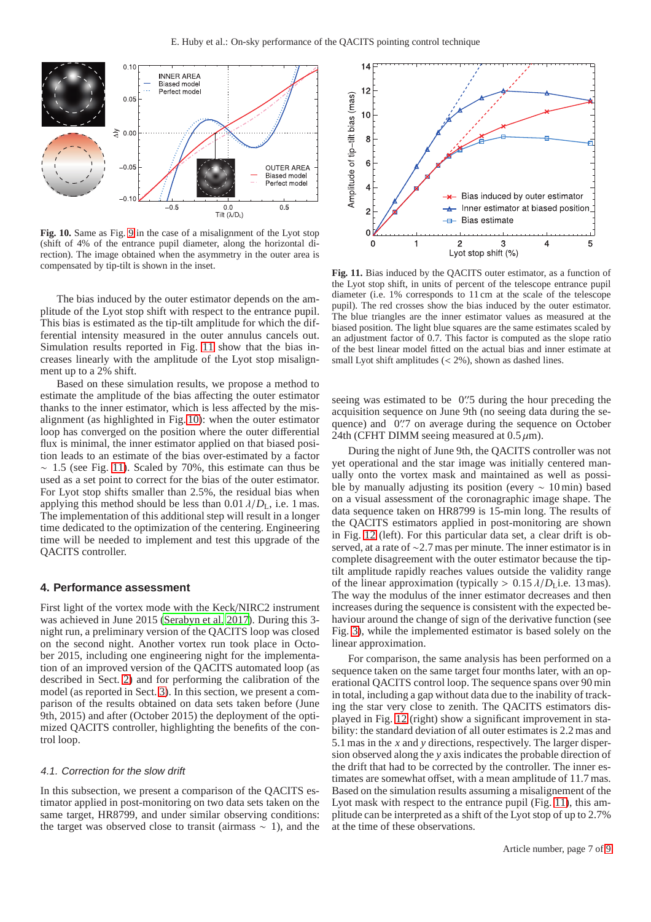

<span id="page-6-2"></span>**Fig. 10.** Same as Fig. [9](#page-5-3) in the case of a misalignment of the Lyot stop (shift of 4% of the entrance pupil diameter, along the horizontal direction). The image obtained when the asymmetry in the outer area is compensated by tip-tilt is shown in the inset.

The bias induced by the outer estimator depends on the amplitude of the Lyot stop shift with respect to the entrance pupil. This bias is estimated as the tip-tilt amplitude for which the differential intensity measured in the outer annulus cancels out. Simulation results reported in Fig. [11](#page-6-3) show that the bias increases linearly with the amplitude of the Lyot stop misalignment up to a 2% shift.

Based on these simulation results, we propose a method to estimate the amplitude of the bias affecting the outer estimator thanks to the inner estimator, which is less affected by the misalignment (as highlighted in Fig. [10\)](#page-6-2): when the outer estimator loop has converged on the position where the outer differential flux is minimal, the inner estimator applied on that biased position leads to an estimate of the bias over-estimated by a factor  $~\sim~1.5$  (see Fig. [11\)](#page-6-3). Scaled by 70%, this estimate can thus be used as a set point to correct for the bias of the outer estimator. For Lyot stop shifts smaller than 2.5%, the residual bias when applying this method should be less than  $0.01 \lambda/D_L$ , i.e. 1 mas. The implementation of this additional step will result in a longer time dedicated to the optimization of the centering. Engineering time will be needed to implement and test this upgrade of the QACITS controller.

## <span id="page-6-0"></span>**4. Performance assessment**

First light of the vortex mode with the Keck/NIRC2 instrument was achieved in June 2015 [\(Serabyn et al. 2017](#page-8-0)). During this 3 night run, a preliminary version of the QACITS loop was closed on the second night. Another vortex run took place in October 2015, including one engineering night for the implementation of an improved version of the QACITS automated loop (as described in Sect. [2\)](#page-1-2) and for performing the calibration of the model (as reported in Sect. [3\)](#page-3-0). In this section, we present a comparison of the results obtained on data sets taken before (June 9th, 2015) and after (October 2015) the deployment of the optimized QACITS controller, highlighting the benefits of the control loop.

## <span id="page-6-1"></span>4.1. Correction for the slow drift

In this subsection, we present a comparison of the QACITS estimator applied in post-monitoring on two data sets taken on the same target, HR8799, and under similar observing conditions: the target was observed close to transit (airmass ∼ 1), and the



<span id="page-6-3"></span>**Fig. 11.** Bias induced by the QACITS outer estimator, as a function of the Lyot stop shift, in units of percent of the telescope entrance pupil diameter (i.e. 1% corresponds to 11 cm at the scale of the telescope pupil). The red crosses show the bias induced by the outer estimator. The blue triangles are the inner estimator values as measured at the biased position. The light blue squares are the same estimates scaled by an adjustment factor of 0.7. This factor is computed as the slope ratio of the best linear model fitted on the actual bias and inner estimate at small Lyot shift amplitudes (< 2%), shown as dashed lines.

seeing was estimated to be 0".5 during the hour preceding the acquisition sequence on June 9th (no seeing data during the sequence) and 0''7 on average during the sequence on October 24th (CFHT DIMM seeing measured at  $0.5 \mu m$ ).

During the night of June 9th, the QACITS controller was not yet operational and the star image was initially centered manually onto the vortex mask and maintained as well as possible by manually adjusting its position (every ∼ 10 min) based on a visual assessment of the coronagraphic image shape. The data sequence taken on HR8799 is 15-min long. The results of the QACITS estimators applied in post-monitoring are shown in Fig. [12](#page-7-2) (left). For this particular data set, a clear drift is observed, at a rate of ∼2.7 mas per minute. The inner estimator is in complete disagreement with the outer estimator because the tiptilt amplitude rapidly reaches values outside the validity range of the linear approximation (typically  $> 0.15 \lambda/D<sub>L</sub>$  i.e. 13 mas). The way the modulus of the inner estimator decreases and then increases during the sequence is consistent with the expected behaviour around the change of sign of the derivative function (see Fig. [3\)](#page-2-1), while the implemented estimator is based solely on the linear approximation.

For comparison, the same analysis has been performed on a sequence taken on the same target four months later, with an operational QACITS control loop. The sequence spans over 90 min in total, including a gap without data due to the inability of tracking the star very close to zenith. The QACITS estimators displayed in Fig. [12](#page-7-2) (right) show a significant improvement in stability: the standard deviation of all outer estimates is 2.2 mas and 5.1 mas in the *x* and *y* directions, respectively. The larger dispersion observed along the *y* axis indicates the probable direction of the drift that had to be corrected by the controller. The inner estimates are somewhat offset, with a mean amplitude of 11.7 mas. Based on the simulation results assuming a misalignement of the Lyot mask with respect to the entrance pupil (Fig. [11\)](#page-6-3), this amplitude can be interpreted as a shift of the Lyot stop of up to 2.7% at the time of these observations.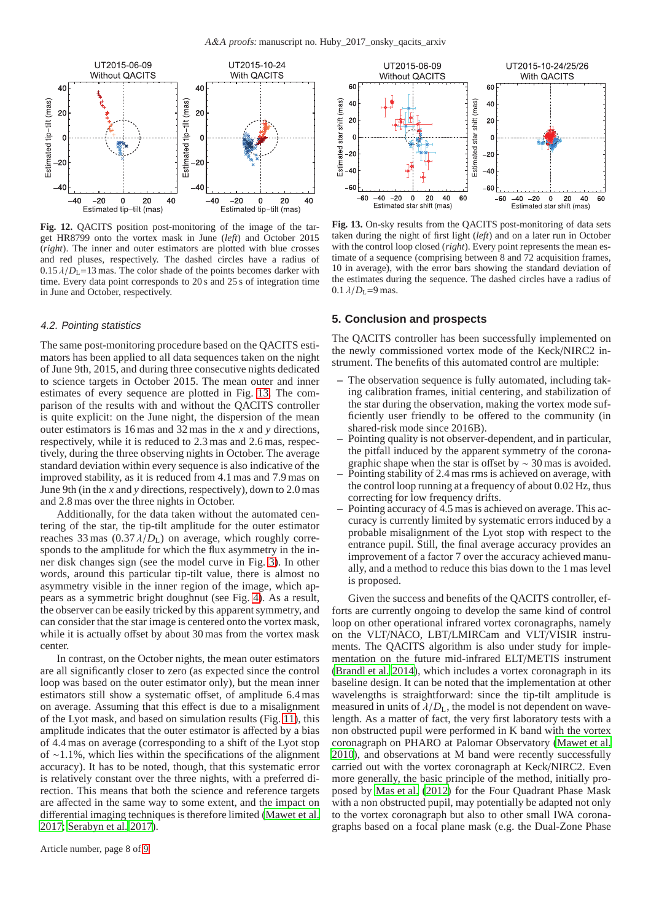

<span id="page-7-2"></span>**Fig. 12.** QACITS position post-monitoring of the image of the target HR8799 onto the vortex mask in June (*left*) and October 2015 (*right*). The inner and outer estimators are plotted with blue crosses and red pluses, respectively. The dashed circles have a radius of  $0.15 \lambda/D_L = 13$  mas. The color shade of the points becomes darker with time. Every data point corresponds to 20 s and 25 s of integration time in June and October, respectively.

#### <span id="page-7-1"></span>4.2. Pointing statistics

The same post-monitoring procedure based on the QACITS estimators has been applied to all data sequences taken on the night of June 9th, 2015, and during three consecutive nights dedicated to science targets in October 2015. The mean outer and inner estimates of every sequence are plotted in Fig. [13.](#page-7-3) The comparison of the results with and without the QACITS controller is quite explicit: on the June night, the dispersion of the mean outer estimators is 16 mas and 32 mas in the *x* and *y* directions, respectively, while it is reduced to 2.3 mas and 2.6 mas, respectively, during the three observing nights in October. The average standard deviation within every sequence is also indicative of the improved stability, as it is reduced from 4.1 mas and 7.9 mas on June 9th (in the *x* and *y* directions, respectively), down to 2.0 mas and 2.8 mas over the three nights in October.

Additionally, for the data taken without the automated centering of the star, the tip-tilt amplitude for the outer estimator reaches 33 mas  $(0.37 \lambda/D_L)$  on average, which roughly corresponds to the amplitude for which the flux asymmetry in the inner disk changes sign (see the model curve in Fig. [3\)](#page-2-1). In other words, around this particular tip-tilt value, there is almost no asymmetry visible in the inner region of the image, which appears as a symmetric bright doughnut (see Fig. [4\)](#page-3-1). As a result, the observer can be easily tricked by this apparent symmetry, and can consider that the star image is centered onto the vortex mask, while it is actually offset by about 30 mas from the vortex mask center.

In contrast, on the October nights, the mean outer estimators are all significantly closer to zero (as expected since the control loop was based on the outer estimator only), but the mean inner estimators still show a systematic offset, of amplitude 6.4 mas on average. Assuming that this effect is due to a misalignment of the Lyot mask, and based on simulation results (Fig. [11\)](#page-6-3), this amplitude indicates that the outer estimator is affected by a bias of 4.4 mas on average (corresponding to a shift of the Lyot stop of ∼1.1%, which lies within the specifications of the alignment accuracy). It has to be noted, though, that this systematic error is relatively constant over the three nights, with a preferred direction. This means that both the science and reference targets are affected in the same way to some extent, and the impact on differential imaging techniques is therefore limited [\(Mawet et](#page-8-22) al. [2017;](#page-8-22) [Serabyn et al. 2017\)](#page-8-0).



<span id="page-7-3"></span>**Fig. 13.** On-sky results from the QACITS post-monitoring of data sets taken during the night of first light (*left*) and on a later run in October with the control loop closed (*right*). Every point represents the mean estimate of a sequence (comprising between 8 and 72 acquisition frames, 10 in average), with the error bars showing the standard deviation of the estimates during the sequence. The dashed circles have a radius of  $0.1 \lambda/D_{\rm L} = 9$  mas.

# <span id="page-7-0"></span>**5. Conclusion and prospects**

The QACITS controller has been successfully implemented on the newly commissioned vortex mode of the Keck/NIRC2 instrument. The benefits of this automated control are multiple:

- The observation sequence is fully automated, including taking calibration frames, initial centering, and stabilization of the star during the observation, making the vortex mode sufficiently user friendly to be offered to the community (in shared-risk mode since 2016B).
- **–** Pointing quality is not observer-dependent, and in particular, the pitfall induced by the apparent symmetry of the coronagraphic shape when the star is offset by  $\sim$  30 mas is avoided.
- **–** Pointing stability of 2.4 mas rms is achieved on average, with the control loop running at a frequency of about 0.02 Hz, thus correcting for low frequency drifts.
- **–** Pointing accuracy of 4.5 mas is achieved on average. This accuracy is currently limited by systematic errors induced by a probable misalignment of the Lyot stop with respect to the entrance pupil. Still, the final average accuracy provides an improvement of a factor 7 over the accuracy achieved manually, and a method to reduce this bias down to the 1 mas level is proposed.

Given the success and benefits of the QACITS controller, efforts are currently ongoing to develop the same kind of control loop on other operational infrared vortex coronagraphs, namely on the VLT/NACO, LBT/LMIRCam and VLT/VISIR instruments. The QACITS algorithm is also under study for implementation on the future mid-infrared ELT/METIS instrument [\(Brandl et al. 2014\)](#page-8-23), which includes a vortex coronagraph in its baseline design. It can be noted that the implementation at other wavelengths is straightforward: since the tip-tilt amplitude is measured in units of  $\lambda/D_L$ , the model is not dependent on wavelength. As a matter of fact, the very first laboratory tests with a non obstructed pupil were performed in K band with the vortex coronagraph on PHARO at Palomar Observatory [\(Mawet et al.](#page-8-24) [2010\)](#page-8-24), and observations at M band were recently successfully carried out with the vortex coronagraph at Keck/NIRC2. Even more generally, the basic principle of the method, initially proposed by [Mas et al. \(2012\)](#page-8-19) for the Four Quadrant Phase Mask with a non obstructed pupil, may potentially be adapted not only to the vortex coronagraph but also to other small IWA coronagraphs based on a focal plane mask (e.g. the Dual-Zone Phase